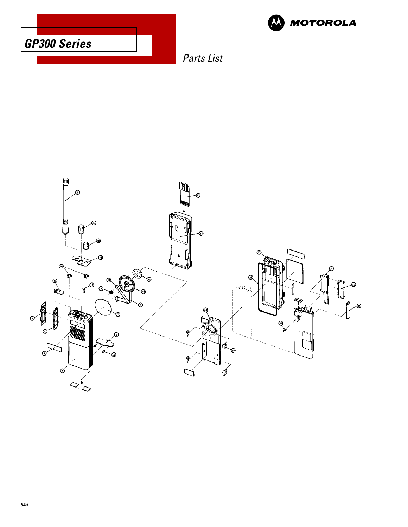



Parts List

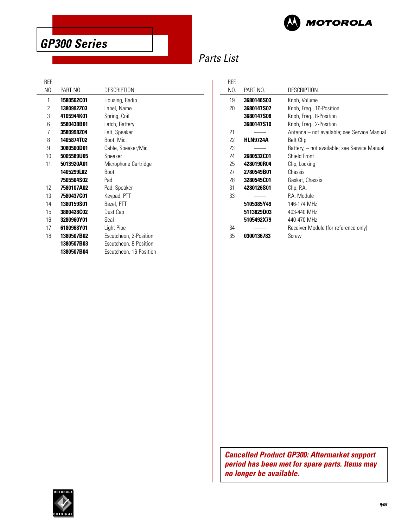

### Parts List

REF.

 $\overline{a}$ 

| NO. | PART NO.          | <b>DESCRIPTION</b>      |
|-----|-------------------|-------------------------|
| 1   | <b>1580562C01</b> | Housing, Radio          |
| 2   | 1380992Z03        | Label, Name             |
| 3   | 4105944K01        | Spring, Coil            |
| 6   | 5580438B01        | Latch, Battery          |
| 7   | 3580998Z04        | Felt, Speaker           |
| 8   | 1405874T02        | Boot, Mic.              |
| 9   | 3080560D01        | Cable, Speaker/Mic.     |
| 10  | 5005589U05        | Speaker                 |
| 11  | 5013920A01        | Microphone Cartridge    |
|     | 1405299L02        | <b>Boot</b>             |
|     | 7505564S02        | Pad                     |
| 12  | 7580107A02        | Pad, Speaker            |
| 13  | 7580437C01        | Keypad, PTT             |
| 14  | 1380159S01        | Bezel, PTT              |
| 15  | 3880428C02        | Dust Cap                |
| 16  | 3280960Y01        | Seal                    |
| 17  | 6180968Y01        | Light Pipe              |
| 18  | 1380507B02        | Escutcheon, 2-Position  |
|     | 1380507B03        | Escutcheon, 8-Position  |
|     | 1380507B04        | Escutcheon, 16-Position |
|     |                   |                         |

| REF. |                   |                                              |  |
|------|-------------------|----------------------------------------------|--|
| NO.  | PART NO.          | <b>DESCRIPTION</b>                           |  |
| 19   | <b>3680146S03</b> | Knob, Volume                                 |  |
| 20   | 3680147S07        | Knob, Freg., 16-Position                     |  |
|      | 3680147S08        | Knob, Freg., 8-Position                      |  |
|      | 3680147S10        | Knob, Freg., 2-Position                      |  |
| 21   |                   | Antenna – not available; see Service Manual  |  |
| 22   | <b>HLN9724A</b>   | <b>Belt Clip</b>                             |  |
| 23   |                   | Battery, – not available; see Service Manual |  |
| 24   | 2680532C01        | Shield Front                                 |  |
| 25   | 4280190R04        | Clip, Locking                                |  |
| 27   | 2780549B01        | Chassis                                      |  |
| 28   | 3280545C01        | Gasket, Chassis                              |  |
| 31   | 4280126S01        | Clip, P.A.                                   |  |
| 33   |                   | PA Module                                    |  |
|      | 5105385Y49        | 146-174 MHz                                  |  |
|      | 5113829D03        | 403-440 MHz                                  |  |
|      | 5105492X79        | 440-470 MHz                                  |  |
| 34   |                   | Receiver Module (for reference only)         |  |
| 35   | 0300136783        | Screw                                        |  |

**Cancelled Product GP300: Aftermarket support period has been met for spare parts. Items may no longer be available.**

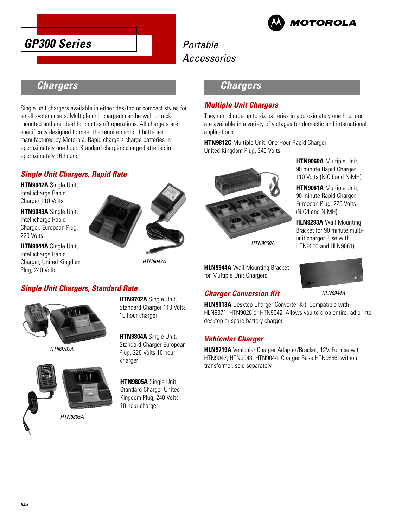



### **Chargers**

Single unit chargers available in either desktop or compact styles for small system users. Multiple unit chargers can be wall or rack mounted and are ideal for multi-shift operations. All chargers are specifically designed to meet the requirements of batteries manufactured by Motorola. Rapid chargers charge batteries in approximately one hour. Standard chargers charge batteries in approximately 16 hours.

#### **Single Unit Chargers, Rapid Rate**

**HTN9042A** Single Unit, Intellicharge Rapid Charger 110 Volts

**HTN9043A** Single Unit, Intellicharge Rapid Charger, European Plug, 220 Volts

**HTN9044A** Single Unit, Intellicharge Rapid Charger, United Kingdom Plug, 240 Volts



HTN9042A

#### **Single Unit Chargers, Standard Rate**



HTN9702A



**HTN9702A** Single Unit, Standard Charger 110 Volts 10 hour charger

**HTN9804A** Single Unit, Standard Charger European Plug, 220 Volts 10 hour charger

**HTN9805A** Single Unit, Standard Charger United Kingdom Plug, 240 Volts 10 hour charger

**Chargers** 

#### **Multiple Unit Chargers**

They can charge up to six batteries in approximately one hour and are available in a variety of voltages for domestic and international applications.

**HTN9812C** Multiple Unit, One Hour Rapid Charger United Kingdom Plug, 240 Volts



HTN9060A

**HLN9944A** Wall Mounting Bracket for Multiple Unit Chargers

#### **Charger Conversion Kit**

**HTN9060A** Multiple Unit, 90 minute Rapid Charger 110 Volts (NiCd and NiMH)

**HTN9061A** Multiple Unit, 90 minute Rapid Charger European Plug, 220 Volts (NiCd and NiMH)

**HLN9293A** Wall Mounting Bracket for 90 minute multiunit charger (Use with HTN9060 and HLN9061)



HLN9944A

**HLN9113A** Desktop Charger Converter Kit. Compatible with HLN8371, HTN9026 or HTN9042. Allows you to drop entire radio into desktop or spare battery charger.

#### **Vehicular Charger**

**HLN9719A** Vehicular Charger Adapter/Bracket, 12V. For use with HTN9042, HTN9043, HTN9044. Charger Base HTN9886, without transformer, sold separately.

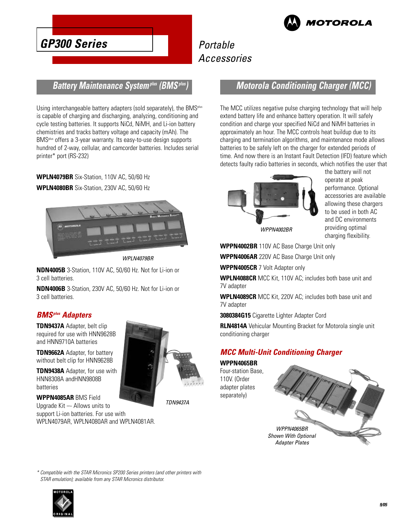

### Portable Accessories

#### **Battery Maintenance Systemplus (BMSplus)**

Using interchangeable battery adapters (sold separately), the BMS<sup>plus</sup> is capable of charging and discharging, analyzing, conditioning and cycle testing batteries. It supports NiCd, NiMH, and Li-ion battery chemistries and tracks battery voltage and capacity (mAh). The BMSplus offers a 3-year warranty. Its easy-to-use design supports hundred of 2-way, cellular, and camcorder batteries. Includes serial printer\* port (RS-232)

**WPLN4079BR** Six-Station, 110V AC, 50/60 Hz **WPLN4080BR** Six-Station, 230V AC, 50/60 Hz



WPLN4079BR

**NDN4005B** 3-Station, 110V AC, 50/60 Hz. Not for Li-ion or 3 cell batteries.

**NDN4006B** 3-Station, 230V AC, 50/60 Hz. Not for Li-ion or 3 cell batteries.

#### **BMSplus Adapters**

**TDN9437A** Adapter, belt clip required for use with HNN9628B and HNN9710A batteries

**TDN9662A** Adapter, for battery without belt clip for HNN9628B

**TDN9438A** Adapter, for use with HNN8308A andHNN9808B batteries

WPLN4079AR, WPLN4080AR and WPLN4081AR.

**WPPN4085AR** BMS Field Upgrade Kit –- Allows units to support Li-ion batteries. For use with

TDN9437A

#### **Motorola Conditioning Charger (MCC)**

The MCC utilizes negative pulse charging technology that will help extend battery life and enhance battery operation. It will safely condition and charge your specified NiCd and NiMH batteries in approximately an hour. The MCC controls heat buildup due to its charging and termination algorithms, and maintenance mode allows batteries to be safely left on the charger for extended periods of time. And now there is an Instant Fault Detection (IFD) feature which detects faulty radio batteries in seconds, which notifies the user that



the battery will not operate at peak performance. Optional accessories are available allowing these chargers to be used in both AC and DC environments providing optimal charging flexibility.

WPPN4002BR

**WPPN4002BR** 110V AC Base Charge Unit only

**WPPN4006AR** 220V AC Base Charge Unit only

**WPPN4005CR** 7 Volt Adapter only

**WPLN4088CR** MCC Kit, 110V AC; includes both base unit and 7V adapter

**WPLN4089CR** MCC Kit, 220V AC; includes both base unit and 7V adapter

**3080384G15** Cigarette Lighter Adapter Cord

**RLN4814A** Vehicular Mounting Bracket for Motorola single unit conditioning charger

#### **MCC Multi-Unit Conditioning Charger**

**WPPN4065BR** Four-station Base, 110V. (Order adapter plates separately)



\* Compatible with the STAR Micronics SP200 Series printers (and other printers with STAR emulation); available from any STAR Micronics distributor.

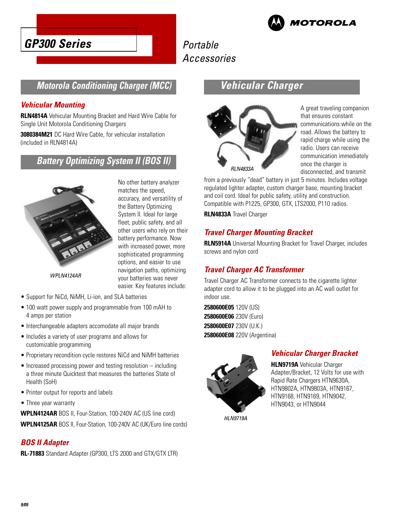



### **Motorola Conditioning Charger (MCC)**

#### **Vehicular Mounting**

**RLN4814A** Vehicular Mounting Bracket and Hard Wire Cable for Single Unit Motorola Conditioning Chargers

**3080384M21** DC Hard Wire Cable, for vehicular installation (included in RLN4814A)

### **Battery Optimizing System II (BOS II)**



No other battery analyzer matches the speed, accuracy, and versatility of the Battery Optimizing System II. Ideal for large fleet, public safety, and all other users who rely on their battery performance. Now with increased power, more sophisticated programming options, and easier to use navigation paths, optimizing your batteries was never easier. Key features include:

WPLN4124AR

- Support for NiCd, NiMH, Li-ion, and SLA batteries
- 100 watt power supply and programmable from 100 mAH to 4 amps per station
- Interchangeable adapters accomodate all major brands
- Includes a variety of user programs and allows for customizable programming
- Proprietary recondition cycle restores NiCd and NiMH batteries
- Increased processing power and testing resolution including a three minute Quicktest that measures the batteries State of Health (SoH)
- Printer output for reports and labels
- Three year warranty

**WPLN4124AR** BOS II, Four-Station, 100-240V AC (US line cord) **WPLN4125AR** BOS II, Four-Station, 100-240V AC (UK/Euro line cords)

#### **BOS II Adapter**

**RL-71883** Standard Adapter (GP300, LTS 2000 and GTX/GTX LTR)

### **Vehicular Charger**



A great traveling companion that ensures constant communications while on the road. Allows the battery to rapid charge while using the radio. Users can receive communication immediately once the charger is disconnected, and transmit

from a previously "dead" battery in just 5 minutes. Includes voltage regulated lighter adapter, custom charger base, mounting bracket and coil cord. Ideal for public safety, utility and construction. Compatible with P1225, GP300, GTX, LTS2000, P110 radios.

**RLN4833A** Travel Charger

#### **Travel Charger Mounting Bracket**

**RLN5914A** Universal Mounting Bracket for Travel Charger, includes screws and nylon cord

#### **Travel Charger AC Transformer**

Travel Charger AC Transformer connects to the cigarette lighter adapter cord to allow it to be plugged into an AC wall outlet for indoor use.

**2580600E05** 120V (US) **2580600E06** 230V (Euro) **2580600E07** 230V (U.K.) **2580600E08** 220V (Argentina)



### **Vehicular Charger Bracket**

**HLN9719A** Vehicular Charger Adapter/Bracket, 12 Volts for use with Rapid Rate Chargers HTN9630A, HTN9802A, HTN9803A, HTN9167, HTN9168, HTN9169, HTN9042, HTN9043, or HTN9044

HLN9719A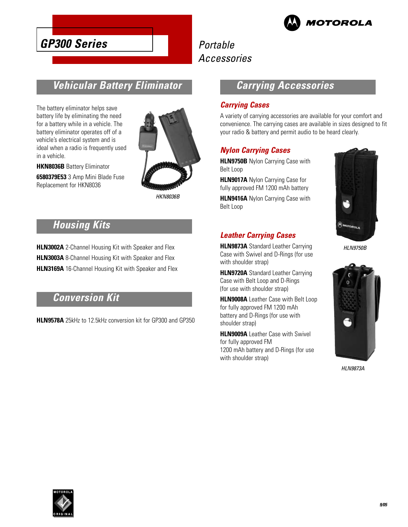

### Portable Accessories

### **Vehicular Battery Eliminator**

The battery eliminator helps save battery life by eliminating the need for a battery while in a vehicle. The battery eliminator operates off of a vehicle's electrical system and is ideal when a radio is frequently used in a vehicle.

**HKN8036B** Battery Eliminator

**6580379E53** 3 Amp Mini Blade Fuse Replacement for HKN8036



HKN8036B

### **Housing Kits**

**HLN3002A** 2-Channel Housing Kit with Speaker and Flex **HLN3003A** 8-Channel Housing Kit with Speaker and Flex **HLN3169A** 16-Channel Housing Kit with Speaker and Flex

### **Conversion Kit**

**HLN9578A** 25kHz to 12.5kHz conversion kit for GP300 and GP350

### **Carrying Accessories**

#### **Carrying Cases**

A variety of carrying accessories are available for your comfort and convenience. The carrying cases are available in sizes designed to fit your radio & battery and permit audio to be heard clearly.

#### **Nylon Carrying Cases**

**HLN9750B** Nylon Carrying Case with Belt Loop

**HLN9017A** Nylon Carrying Case for fully approved FM 1200 mAh battery

**HLN9416A** Nylon Carrying Case with Belt Loop

#### **Leather Carrying Cases**

**HLN9873A** Standard Leather Carrying Case with Swivel and D-Rings (for use with shoulder strap)

**HLN9720A** Standard Leather Carrying Case with Belt Loop and D-Rings (for use with shoulder strap)

**HLN9008A** Leather Case with Belt Loop for fully approved FM 1200 mAh battery and D-Rings (for use with shoulder strap)

**HLN9009A** Leather Case with Swivel for fully approved FM 1200 mAh battery and D-Rings (for use with shoulder strap)



HLN9750B



HLN9873A

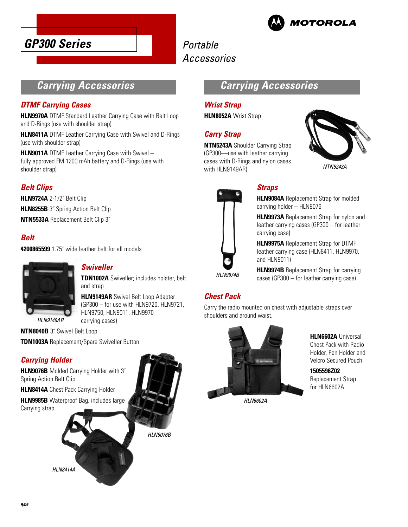



### **Carrying Accessories**

#### **DTMF Carrying Cases**

**HLN9970A** DTMF Standard Leather Carrying Case with Belt Loop and D-Rings (use with shoulder strap)

**HLN8411A** DTMF Leather Carrying Case with Swivel and D-Rings (use with shoulder strap)

**HLN9011A** DTMF Leather Carrying Case with Swivel – fully approved FM 1200 mAh battery and D-Rings (use with shoulder strap)

#### **Belt Clips**

**HLN9724A** 2-1/2˝ Belt Clip **HLN8255B** 3<sup>"</sup> Spring Action Belt Clip **NTN5533A** Replacement Belt Clip 3˝

#### **Belt**

**4200865599** 1.75˝ wide leather belt for all models



#### **Swiveller**

**TDN1002A** Swiveller; includes holster, belt and strap

**HLN9149AR** Swivel Belt Loop Adapter (GP300 – for use with HLN9720, HLN9721, HLN9750, HLN9011, HLN9970 carrying cases)

**NTN8040B** 3˝ Swivel Belt Loop

**TDN1003A** Replacement/Spare Swiveller Button

#### **Carrying Holder**

**HLN9076B** Molded Carrying Holder with 3˝ Spring Action Belt Clip

**HLN8414A** Chest Pack Carrying Holder

HLN8414A

**HLN9985B** Waterproof Bag, includes large Carrying strap



### **Carrying Accessories**

#### **Wrist Strap**

**HLN8052A** Wrist Strap

#### **Carry Strap**

**NTN5243A** Shoulder Carrying Strap (GP300—use with leather carrying cases with D-Rings and nylon cases with HLN9149AR)





### **Straps**

**HLN9084A** Replacement Strap for molded carrying holder – HLN9076

**HLN9973A** Replacement Strap for nylon and leather carrying cases (GP300 – for leather carrying case)

**HLN9975A** Replacement Strap for DTMF leather carrying case (HLN8411, HLN9970, and HLN9011)

**HLN9974B** Replacement Strap for carrying cases (GP300 – for leather carrying case)

#### **Chest Pack**

Carry the radio mounted on chest with adjustable straps over shoulders and around waist.



**HLN6602A** Universal Chest Pack with Radio Holder, Pen Holder and Velcro Secured Pouch

**1505596Z02** Replacement Strap for HLN6602A

HI N6602A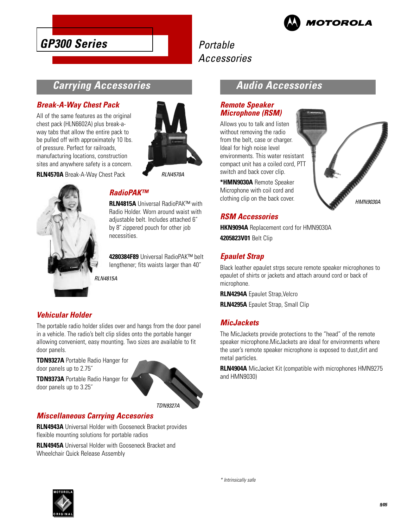

### Portable Accessories

### **Carrying Accessories**

#### **Break-A-Way Chest Pack**

All of the same features as the original chest pack (HLN6602A) plus break-away tabs that allow the entire pack to be pulled off with approximately 10 lbs. of pressure. Perfect for railroads, manufacturing locations, construction sites and anywhere safety is a concern.

**RLN4570A** Break-A-Way Chest Pack



**RI N4570A** 



**RLN4815A** Universal RadioPAK™ with Radio Holder. Worn around waist with adjustable belt. Includes attached 6" by 8˝ zippered pouch for other job necessities.

**4280384F89** Universal RadioPAK™ belt lengthener; fits waists larger than 40˝

**RI N4815A** 

#### **Vehicular Holder**

The portable radio holder slides over and hangs from the door panel in a vehicle. The radio's belt clip slides onto the portable hanger allowing convenient, easy mounting. Two sizes are available to fit door panels.

**TDN9327A** Portable Radio Hanger for door panels up to 2.75˝

**TDN9373A** Portable Radio Hanger for door panels up to 3.25˝



#### **Miscellaneous Carrying Accesories**

**RLN4943A** Universal Holder with Gooseneck Bracket provides flexible mounting solutions for portable radios

**RLN4945A** Universal Holder with Gooseneck Bracket and Wheelchair Quick Release Assembly

### **Audio Accessories**

#### **Remote Speaker Microphone (RSM)**

Allows you to talk and listen without removing the radio from the belt, case or charger. Ideal for high noise level environments. This water resistant compact unit has a coiled cord, PTT switch and back cover clip.

**\*HMN9030A** Remote Speaker Microphone with coil cord and clothing clip on the back cover.



#### **RSM Accessories**

**HKN9094A** Replacement cord for HMN9030A **4205823V01** Belt Clip

#### **Epaulet Strap**

Black leather epaulet strps secure remote speaker microphones to epaulet of shirts or jackets and attach around cord or back of microphone.

**RLN4294A** Epaulet Strap,Velcro

**RLN4295A** Epaulet Strap, Small Clip

#### **MicJackets**

The MicJackets provide protections to the "head" of the remote speaker microphone.MicJackets are ideal for environments where the user's remote speaker microphone is exposed to dust,dirt and metal particles.

**RLN4904A** MicJacket Kit (compatible with microphones HMN9275 and HMN9030)

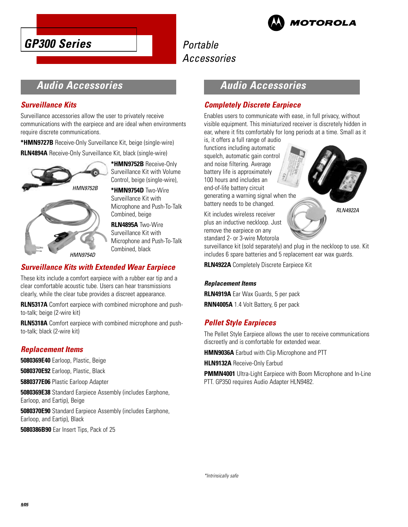



### **Audio Accessories**

#### **Surveillance Kits**

Surveillance accessories allow the user to privately receive communications with the earpiece and are ideal when environments require discrete communications.

**\*HMN9727B** Receive-Only Surveillance Kit, beige (single-wire)

**RLN4894A** Receive-Only Surveillance Kit, black (single-wire)



**\*HMN9752B** Receive-Only Surveillance Kit with Volume Control, beige (single-wire),

**\*HMN9754D** Two-Wire Surveillance Kit with Microphone and Push-To-Talk Combined, beige

**RLN4895A** Two-Wire Surveillance Kit with Microphone and Push-To-Talk Combined, black

#### **Surveillance Kits with Extended Wear Earpiece**

These kits include a comfort earpiece with a rubber ear tip and a clear comfortable acoustic tube. Users can hear transmissions clearly, while the clear tube provides a discreet appearance.

**RLN5317A** Comfort earpiece with combined microphone and pushto-talk; beige (2-wire kit)

**RLN5318A** Comfort earpiece with combined microphone and pushto-talk; black (2-wire kit)

#### **Replacement Items**

**5080369E40** Earloop, Plastic, Beige

**5080370E92** Earloop, Plastic, Black

**5880377E06** Plastic Earloop Adapter

**5080369E38** Standard Earpiece Assembly (includes Earphone, Earloop, and Eartip), Beige

**5080370E90** Standard Earpiece Assembly (includes Earphone, Earloop, and Eartip), Black

**5080386B90** Ear Insert Tips, Pack of 25

### **Audio Accessories**

#### **Completely Discrete Earpiece**

Enables users to communicate with ease, in full privacy, without visible equipment. This miniaturized receiver is discretely hidden in ear, where it fits comfortably for long periods at a time. Small as it is, it offers a full range of audio

functions including automatic squelch, automatic gain control and noise filtering. Average battery life is approximately 100 hours and includes an end-of-life battery circuit generating a warning signal when the battery needs to be changed.

Kit includes wireless receiver plus an inductive neckloop. Just remove the earpiece on any standard 2- or 3-wire Motorola

surveillance kit (sold separately) and plug in the neckloop to use. Kit includes 6 spare batteries and 5 replacement ear wax guards.

**RLN4922A** Completely Discrete Earpiece Kit

#### **Replacement Items**

**RLN4919A** Ear Wax Guards, 5 per pack **RNN4005A** 1.4 Volt Battery, 6 per pack

#### **Pellet Style Earpieces**

The Pellet Style Earpiece allows the user to receive communications discreetly and is comfortable for extended wear.

**HMN9036A** Earbud with Clip Microphone and PTT

**HLN9132A** Receive-Only Earbud

**PMMN4001** Ultra-Light Earpiece with Boom Microphone and In-Line PTT. GP350 requires Audio Adapter HLN9482.

RLN4922A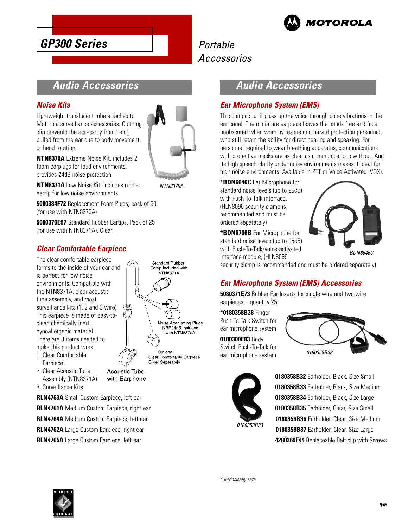

### **Audio Accessories**

**GP300 Series**

#### **Noise Kits**

Lightweight translucent tube attaches to Motorola surveillance accessories. Clothing clip prevents the accessory from being pulled from the ear due to body movement or head rotation.



NTN8370A

**NTN8370A** Extreme Noise Kit, includes 2 foam earplugs for loud environments, provides 24dB noise protection

**NTN8371A** Low Noise Kit, includes rubber eartip for low noise environments

**5080384F72** Replacement Foam Plugs; pack of 50 (for use with NTN8370A)

**5080370E97** Standard Rubber Eartips, Pack of 25 (for use with NTN8371A), Clear

#### **Clear Comfortable Earpiece**

The clear comfortable earpiece forms to the inside of your ear and is perfect for low noise environments. Compatible with the NTN8371A, clear acoustic tube assembly, and most surveillance kits (1, 2 and 3 wire). This earpiece is made of easy-toclean chemically inert, hypoallergenic material. There are 3 items needed to make this product work:

- 1. Clear Comfortable Earpiece
- 2. Clear Acoustic Tube Assembly (NTN8371A)

**Acoustic Tube** with Earphone

3. Surveillance Kits

**RLN4763A** Small Custom Earpiece, left ear **RLN4761A** Medium Custom Earpiece, right ear **RLN4764A** Medium Custom Earpiece, left ear **RLN4762A** Large Custom Earpiece, right ear

**RLN4765A** Large Custom Earpiece, left ear

### **Standard Rubber** Eartip Included with **NTN8371A** Noise Attenuating Plugs NRR24dB Included with NTN8370A Optional Clear Comfortable Earpiece Order Separately

### **Audio Accessories**

#### **Ear Microphone System (EMS)**

This compact unit picks up the voice through bone vibrations in the ear canal. The miniature earpiece leaves the hands free and face unobscured when worn by rescue and hazard protection personnel, who still retain the ability for direct hearing and speaking. For personnel required to wear breathing apparatus, communications with protective masks are as clear as communications without. And its high speech clarity under noisy environments makes it ideal for high noise environments. Available in PTT or Voice Activated (VOX).

**\*BDN6646C** Ear Microphone for standard noise levels (up to 95dB) with Push-To-Talk interface, (HLN8096 security clamp is recommended and must be ordered separately)

**\*BDN6706B** Ear Microphone for standard noise levels (up to 95dB) with Push-To-Talk/voice-activated interface module, (HLN8096



BDN6646C

security clamp is recommended and must be ordered separately)

### **Ear Microphone System (EMS) Accessories**

**5080371E73** Rubber Ear Inserts for single wire and two wire earpieces – quantity 25

**\*0180358B38** Finger Push-To-Talk Switch for ear microphone system

**0180300E83** Body Switch Push-To-Talk for ear microphone system





**0180358B32** Earholder, Black, Size Small **0180358B33** Earholder, Black, Size Medium **0180358B34** Earholder, Black, Size Large **0180358B35** Earholder, Clear, Size Small **0180358B36** Earholder, Clear, Size Medium **0180358B37** Earholder, Clear, Size Large **4280369E44** Replaceable Belt clip with Screws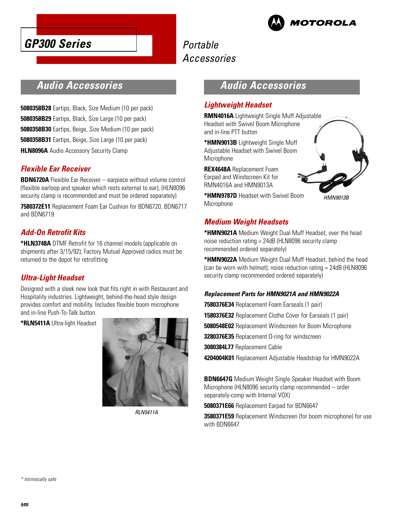



### **Audio Accessories**

**5080358B28** Eartips, Black, Size Medium (10 per pack) **5080358B29** Eartips, Black, Size Large (10 per pack) **5080358B30** Eartips, Beige, Size Medium (10 per pack) **5080358B31** Eartips, Beige, Size Large (10 per pack) **HLN8096A** Audio Accessory Security Clamp

#### **Flexible Ear Receiver**

**BDN6720A** Flexible Ear Receiver – earpiece without volume control (flexible earloop and speaker which rests external to ear), (HLN8096 security clamp is recommended and must be ordered separately)

**7580372E11** Replacement Foam Ear Cushion for BDN6720, BDN6717 and BDN6719

#### **Add-On Retrofit Kits**

**\*HLN3748A** DTMF Retrofit for 16 channel models (applicable on shipments after 3/15/92); Factory Mutual Approved radios must be returned to the depot for retrofitting

#### **Ultra-Light Headset**

Designed with a sleek new look that fits right in with Restaurant and Hospitality industries. Lightweight, behind-the-head style design provides comfort and mobility. Includes flexible boom microphone and in-line Push-To-Talk button.

**\*RLN5411A** Ultra-light Headset



RLN5411A

### **Audio Accessories**

#### **Lightweight Headset**

**RMN4016A** Lightweight Single Muff Adjustable Headset with Swivel Boom Microphone and in-line PTT button

**\*HMN9013B** Lightweight Single Muff Adjustable Headset with Swivel Boom Microphone

**REX4648A** Replacement Foam Earpad and Windscreen Kit for RMN4016A and HMN9013A

**\*HMN9787D** Headset with Swivel Boom Microphone

HMN9013B

#### **Medium Weight Headsets**

**\*HMN9021A** Medium Weight Dual Muff Headset, over the head noise reduction rating = 24dB (HLN8096 security clamp recommended ordered separately)

**\*HMN9022A** Medium Weight Dual Muff Headset, behind the head (can be worn with helmet); noise reduction rating = 24dB (HLN8096 security clamp recommended ordered separately)

#### **Replacement Parts for HMN9021A and HMN9022A**

**7580376E34** Replacement Foam Earseals (1 pair)

**1580376E32** Replacement Clothe Cover for Earseals (1 pair)

**5080548E02** Replacement Windscreen for Boom Microphone

**3280376E35** Replacement O-ring for windscreen

**3080384L77** Replacement Cable

**4204004K01** Replacement Adjustable Headstrap for HMN9022A

**BDN6647G** Medium Weight Single Speaker Headset with Boom Microphone (HLN8096 security clamp recommended – order separately-comp with Internal VOX)

**5080371E66** Replacement Earpad for BDN6647

**3580371E59** Replacement Windscreen (for boom microphone) for use with BDN6647

\* Intrinsically safe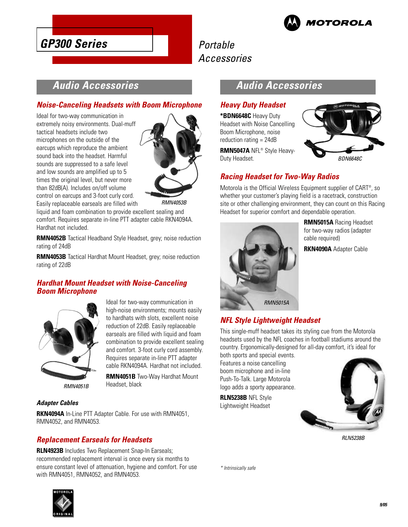

### Portable Accessories

### **Audio Accessories**

#### **Noise-Canceling Headsets with Boom Microphone**

Ideal for two-way communication in extremely noisy environments. Dual-muff tactical headsets include two microphones on the outside of the earcups which reproduce the ambient sound back into the headset. Harmful sounds are suppressed to a safe level and low sounds are amplified up to 5 times the original level, but never more than 82dB(A). Includes on/off volume control on earcups and 3-foot curly cord. Easily replaceable earseals are filled with



RMN4053B

liquid and foam combination to provide excellent sealing and comfort. Requires separate in-line PTT adapter cable RKN4094A. Hardhat not included.

**RMN4052B** Tactical Headband Style Headset, grey; noise reduction rating of 24dB

**RMN4053B** Tactical Hardhat Mount Headset, grey; noise reduction rating of 22dB

> Ideal for two-way communication in high-noise environments; mounts easily to hardhats with slots, excellent noise reduction of 22dB. Easily replaceable earseals are filled with liquid and foam combination to provide excellent sealing and comfort. 3-foot curly cord assembly. Requires separate in-line PTT adapter cable RKN4094A. Hardhat not included. **RMN4051B** Two-Way Hardhat Mount

#### **Hardhat Mount Headset with Noise-Canceling Boom Microphone**



RMN4051B

#### **Adapter Cables**

**RKN4094A** In-Line PTT Adapter Cable. For use with RMN4051, RMN4052, and RMN4053.

Headset, black

#### **Replacement Earseals for Headsets**

**RLN4923B** Includes Two Replacement Snap-In Earseals; recommended replacement interval is once every six months to ensure constant level of attenuation, hygiene and comfort. For use with RMN4051, RMN4052, and RMN4053.



### **Audio Accessories**

#### **Heavy Duty Headset**

**\*BDN6648C** Heavy Duty Headset with Noise Cancelling Boom Microphone, noise reduction rating = 24dB

**RMN5047A** NFL® Style Heavy-Duty Headset.



#### **Racing Headset for Two-Way Radios**

Motorola is the Official Wireless Equipment supplier of CART® , so whether your customer's playing field is a racetrack, construction site or other challenging environment, they can count on this Racing Headset for superior comfort and dependable operation.



**RMN5015A** Racing Headset for two-way radios (adapter cable required)

**RKN4090A** Adapter Cable

#### **NFL Style Lightweight Headset**

This single-muff headset takes its styling cue from the Motorola headsets used by the NFL coaches in football stadiums around the country. Ergonomically-designed for all-day comfort, it's ideal for

both sports and special events. Features a noise cancelling boom microphone and in-line Push-To-Talk. Large Motorola logo adds a sporty appearance.

**RLN5238B** NFL Style Lightweight Headset



RLN5238B

\* Intrinsically safe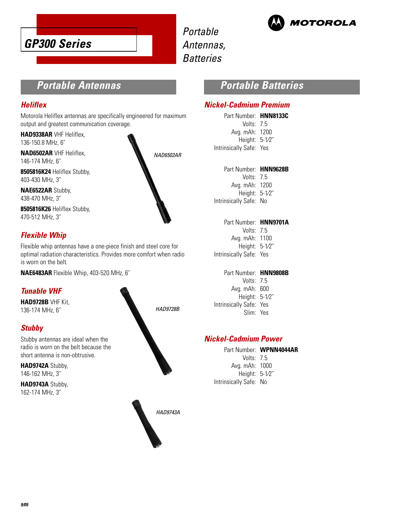

Portable Antennas, **Batteries** 



### **Portable Antennas**

#### **Heliflex**

Motorola Heliflex antennas are specifically engineered for maximum output and greatest communication coverage.

**HAD9338AR** VHF Heliflex, 136-150.8 MHz, 6˝

**NAD6502AR** VHF Heliflex, 146-174 MHz, 6˝

**8505816K24** Heliflex Stubby, 403-430 MHz, 3˝

**NAE6522AR** Stubby, 438-470 MHz, 3˝

**8505816K26** Heliflex Stubby, 470-512 MHz, 3˝

#### **Flexible Whip**

Flexible whip antennas have a one-piece finish and steel core for optimal radiation characteristics. Provides more comfort when radio is worn on the belt.

**NAE6483AR** Flexible Whip, 403-520 MHz, 6˝

#### **Tunable VHF**

**HAD9728B** VHF Kit, 136-174 MHz, 6˝

#### **Stubby**

Stubby antennas are ideal when the radio is worn on the belt because the short antenna is non-obtrusive.

**HAD9742A** Stubby, 146-162 MHz, 3˝

**HAD9743A** Stubby, 162-174 MHz, 3˝



NAD6502AR

HAD9743A

### **Portable Batteries**

#### **Nickel-Cadmium Premium**

Part Number: **HNN8133C** Volts: 7.5 Avg. mAh: 1200 Height: 5-1⁄2˝ Intrinsically Safe: Yes

Part Number: **HNN9628B**

Volts: 7.5 Avg. mAh: 1200 Height: 5-1⁄2˝ Intrinsically Safe: No

#### Part Number: **HNN9701A**

| Volts: $7.5$            |  |
|-------------------------|--|
| Avg. mAh: 1100          |  |
| Height: 5-1/2"          |  |
| Intrinsically Safe: Yes |  |

#### Part Number: **HNN9808B**

Volts: 7.5 Avg. mAh: 600 Height: 5-1⁄2˝ Intrinsically Safe: Yes Slim: Yes

#### **Nickel-Cadmium Power**

Part Number: **WPNN4044AR** Volts: 7.5 Avg. mAh: 1000 Height: 5-1⁄2˝ Intrinsically Safe: No